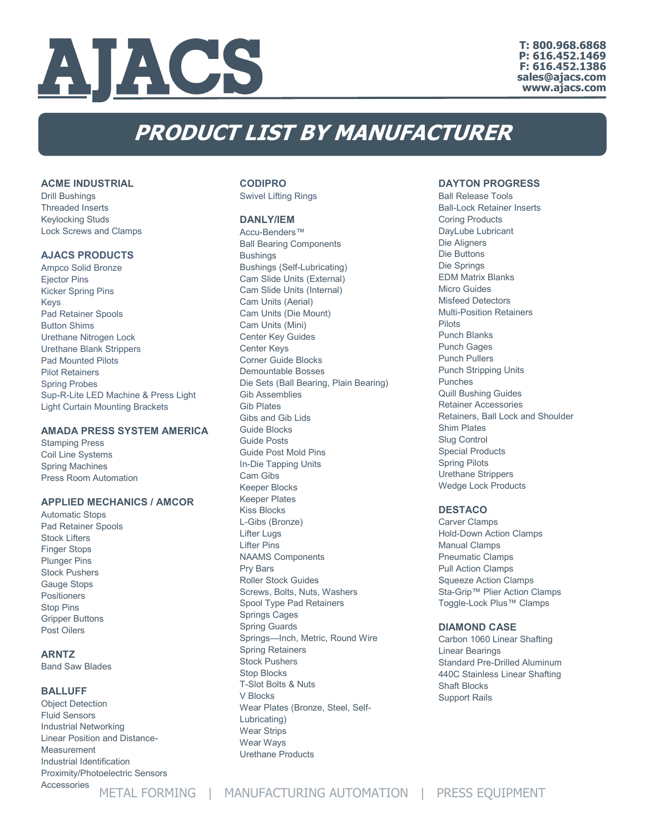

**T: 800.968.6868 P: 616.452.1469 F: 616.452.1386 sales@ajacs.com www.ajacs.com**

# **PRODUCT LIST BY MANUFACTURER**

#### **ACME INDUSTRIAL**

Drill Bushings Threaded Inserts Keylocking Studs Lock Screws and Clamps

#### **AJACS PRODUCTS**

Ampco Solid Bronze Ejector Pins Kicker Spring Pins Keys Pad Retainer Spools Button Shims Urethane Nitrogen Lock Urethane Blank Strippers Pad Mounted Pilots Pilot Retainers Spring Probes Sup-R-Lite LED Machine & Press Light Light Curtain Mounting Brackets

## **AMADA PRESS SYSTEM AMERICA**

Stamping Press Coil Line Systems Spring Machines Press Room Automation

## **APPLIED MECHANICS / AMCOR**

Automatic Stops Pad Retainer Spools Stock Lifters Finger Stops Plunger Pins Stock Pushers Gauge Stops Positioners Stop Pins Gripper Buttons Post Oilers

## **ARNTZ**

Band Saw Blades

#### **BALLUFF**

Object Detection Fluid Sensors Industrial Networking Linear Position and Distance-**Measurement** Industrial Identification Proximity/Photoelectric Sensors Accessories

## **CODIPRO**

Swivel Lifting Rings

#### **DANLY/IEM**

Accu-Benders™ Ball Bearing Components Bushings Bushings (Self-Lubricating) Cam Slide Units (External) Cam Slide Units (Internal) Cam Units (Aerial) Cam Units (Die Mount) Cam Units (Mini) Center Key Guides Center Keys Corner Guide Blocks Demountable Bosses Die Sets (Ball Bearing, Plain Bearing) Gib Assemblies Gib Plates Gibs and Gib Lids Guide Blocks Guide Posts Guide Post Mold Pins In-Die Tapping Units Cam Gibs Keeper Blocks Keeper Plates Kiss Blocks L-Gibs (Bronze) Lifter Lugs Lifter Pins NAAMS Components Pry Bars Roller Stock Guides Screws, Bolts, Nuts, Washers Spool Type Pad Retainers Springs Cages Spring Guards Springs—Inch, Metric, Round Wire Spring Retainers Stock Pushers Stop Blocks T-Slot Bolts & Nuts V Blocks Wear Plates (Bronze, Steel, Self-Lubricating) Wear Strips Wear Ways

Urethane Products

#### **DAYTON PROGRESS**

Ball Release Tools Ball-Lock Retainer Inserts Coring Products DayLube Lubricant Die Aligners Die Buttons Die Springs EDM Matrix Blanks Micro Guides Misfeed Detectors Multi-Position Retainers Pilots Punch Blanks Punch Gages Punch Pullers Punch Stripping Units Punches Quill Bushing Guides Retainer Accessories Retainers, Ball Lock and Shoulder Shim Plates Slug Control Special Products Spring Pilots Urethane Strippers Wedge Lock Products

#### **DESTACO**

Carver Clamps Hold-Down Action Clamps Manual Clamps Pneumatic Clamps Pull Action Clamps Squeeze Action Clamps Sta-Grip™ Plier Action Clamps Toggle-Lock Plus™ Clamps

#### **DIAMOND CASE**

Carbon 1060 Linear Shafting Linear Bearings Standard Pre-Drilled Aluminum 440C Stainless Linear Shafting Shaft Blocks Support Rails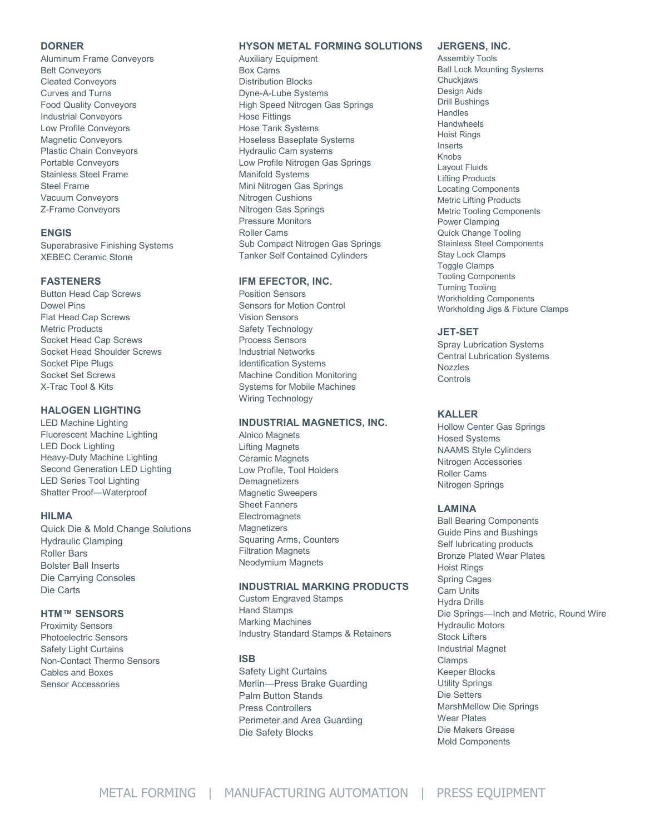#### **DORNER**

Aluminum Frame Conveyors Belt Conveyors Cleated Conveyors Curves and Turns Food Quality Conveyors Industrial Conveyors Low Profile Conveyors Magnetic Conveyors Plastic Chain Conveyors Portable Conveyors Stainless Steel Frame Steel Frame Vacuum Conveyors Z-Frame Conveyors

#### **ENGIS**

Superabrasive Finishing Systems XEBEC Ceramic Stone

## **FASTENERS**

Button Head Cap Screws Dowel Pins Flat Head Cap Screws Metric Products Socket Head Cap Screws Socket Head Shoulder Screws Socket Pipe Plugs Socket Set Screws X-Trac Tool & Kits

## **HALOGEN LIGHTING**

LED Machine Lighting Fluorescent Machine Lighting LED Dock Lighting Heavy-Duty Machine Lighting Second Generation LED Lighting LED Series Tool Lighting Shatter Proof—Waterproof

#### **HILMA**

Quick Die & Mold Change Solutions Hydraulic Clamping Roller Bars Bolster Ball Inserts Die Carrying Consoles Die Carts

## **HTM™ SENSORS**

Proximity Sensors Photoelectric Sensors Safety Light Curtains Non-Contact Thermo Sensors Cables and Boxes Sensor Accessories

## **HYSON METAL FORMING SOLUTIONS**

Auxiliary Equipment Box Cams Distribution Blocks Dyne-A-Lube Systems High Speed Nitrogen Gas Springs Hose Fittings Hose Tank Systems Hoseless Baseplate Systems Hydraulic Cam systems Low Profile Nitrogen Gas Springs Manifold Systems Mini Nitrogen Gas Springs Nitrogen Cushions Nitrogen Gas Springs Pressure Monitors Roller Cams Sub Compact Nitrogen Gas Springs Tanker Self Contained Cylinders

#### **IFM EFECTOR, INC.**

Position Sensors Sensors for Motion Control Vision Sensors Safety Technology Process Sensors Industrial Networks Identification Systems Machine Condition Monitoring Systems for Mobile Machines Wiring Technology

## **INDUSTRIAL MAGNETICS, INC.**

Alnico Magnets Lifting Magnets Ceramic Magnets Low Profile, Tool Holders **Demagnetizers** Magnetic Sweepers Sheet Fanners **Electromagnets Magnetizers** Squaring Arms, Counters Filtration Magnets Neodymium Magnets

#### **INDUSTRIAL MARKING PRODUCTS**

Custom Engraved Stamps Hand Stamps Marking Machines Industry Standard Stamps & Retainers

#### **ISB**

Safety Light Curtains Merlin—Press Brake Guarding Palm Button Stands Press Controllers Perimeter and Area Guarding Die Safety Blocks

## **JERGENS, INC.**

Assembly Tools Ball Lock Mounting Systems Chuckjaws Design Aids Drill Bushings **Handles Handwheels** Hoist Rings Inserts Knobs Layout Fluids Lifting Products Locating Components Metric Lifting Products Metric Tooling Components Power Clamping Quick Change Tooling Stainless Steel Components Stay Lock Clamps Toggle Clamps Tooling Components Turning Tooling Workholding Components Workholding Jigs & Fixture Clamps

#### **JET-SET**

Spray Lubrication Systems Central Lubrication Systems Nozzles **Controls** 

## **KALLER**

Hollow Center Gas Springs Hosed Systems NAAMS Style Cylinders Nitrogen Accessories Roller Cams Nitrogen Springs

#### **LAMINA**

Ball Bearing Components Guide Pins and Bushings Self lubricating products Bronze Plated Wear Plates Hoist Rings Spring Cages Cam Units Hydra Drills Die Springs—Inch and Metric, Round Wire Hydraulic Motors Stock Lifters Industrial Magnet Clamps Keeper Blocks Utility Springs Die Setters MarshMellow Die Springs Wear Plates Die Makers Grease Mold Components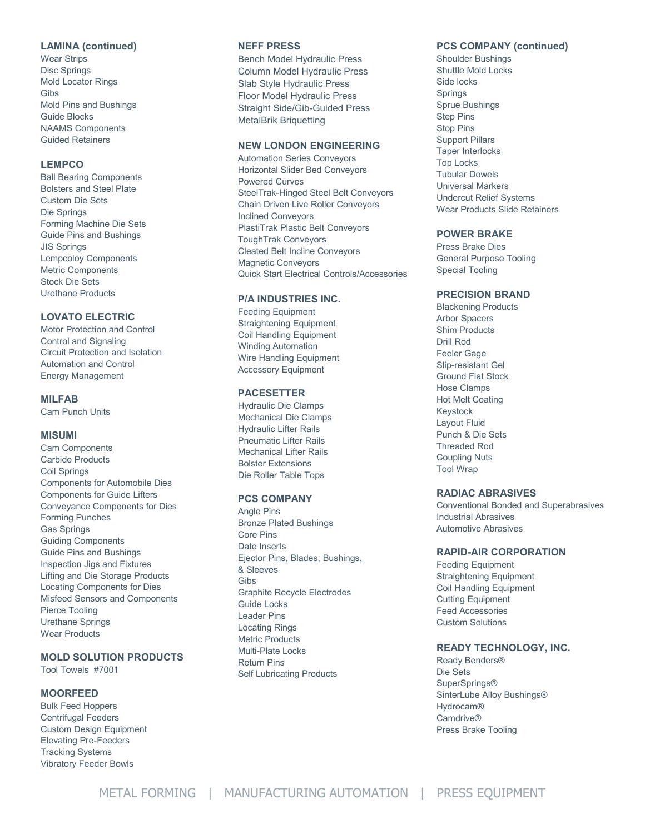## **LAMINA (continued)**

Wear Strips Disc Springs Mold Locator Rings Gibs Mold Pins and Bushings Guide Blocks NAAMS Components Guided Retainers

## **LEMPCO**

Ball Bearing Components Bolsters and Steel Plate Custom Die Sets Die Springs Forming Machine Die Sets Guide Pins and Bushings JIS Springs Lempcoloy Components Metric Components Stock Die Sets Urethane Products

## **LOVATO ELECTRIC**

Motor Protection and Control Control and Signaling Circuit Protection and Isolation Automation and Control Energy Management

## **MILFAB**

Cam Punch Units

## **MISUMI**

Cam Components Carbide Products Coil Springs Components for Automobile Dies Components for Guide Lifters Conveyance Components for Dies Forming Punches Gas Springs Guiding Components Guide Pins and Bushings Inspection Jigs and Fixtures Lifting and Die Storage Products Locating Components for Dies Misfeed Sensors and Components Pierce Tooling Urethane Springs Wear Products

## **MOLD SOLUTION PRODUCTS**

Tool Towels #7001

## **MOORFEED**

Bulk Feed Hoppers Centrifugal Feeders Custom Design Equipment Elevating Pre-Feeders Tracking Systems Vibratory Feeder Bowls

#### **NEFF PRESS**

Bench Model Hydraulic Press Column Model Hydraulic Press Slab Style Hydraulic Press Floor Model Hydraulic Press Straight Side/Gib-Guided Press MetalBrik Briquetting

## **NEW LONDON ENGINEERING**

Automation Series Conveyors Horizontal Slider Bed Conveyors Powered Curves SteelTrak-Hinged Steel Belt Conveyors Chain Driven Live Roller Conveyors Inclined Conveyors PlastiTrak Plastic Belt Conveyors ToughTrak Conveyors Cleated Belt Incline Conveyors Magnetic Conveyors Quick Start Electrical Controls/Accessories

## **P/A INDUSTRIES INC.**

Feeding Equipment Straightening Equipment Coil Handling Equipment Winding Automation Wire Handling Equipment Accessory Equipment

#### **PACESETTER**

Hydraulic Die Clamps Mechanical Die Clamps Hydraulic Lifter Rails Pneumatic Lifter Rails Mechanical Lifter Rails Bolster Extensions Die Roller Table Tops

#### **PCS COMPANY**

Angle Pins Bronze Plated Bushings Core Pins Date Inserts Ejector Pins, Blades, Bushings, & Sleeves Gibs Graphite Recycle Electrodes Guide Locks Leader Pins Locating Rings Metric Products Multi-Plate Locks Return Pins Self Lubricating Products

## **PCS COMPANY (continued)**

Shoulder Bushings Shuttle Mold Locks Side locks Springs Sprue Bushings Step Pins Stop Pins Support Pillars Taper Interlocks Top Locks Tubular Dowels Universal Markers Undercut Relief Systems Wear Products Slide Retainers

## **POWER BRAKE**

Press Brake Dies General Purpose Tooling Special Tooling

## **PRECISION BRAND**

Blackening Products Arbor Spacers Shim Products Drill Rod Feeler Gage Slip-resistant Gel Ground Flat Stock Hose Clamps Hot Melt Coating Keystock Layout Fluid Punch & Die Sets Threaded Rod Coupling Nuts Tool Wrap

#### **RADIAC ABRASIVES**

Conventional Bonded and Superabrasives Industrial Abrasives Automotive Abrasives

## **RAPID-AIR CORPORATION**

Feeding Equipment Straightening Equipment Coil Handling Equipment Cutting Equipment Feed Accessories Custom Solutions

## **READY TECHNOLOGY, INC.**

Ready Benders® Die Sets SuperSprings® SinterLube Alloy Bushings® Hydrocam® Camdrive® Press Brake Tooling